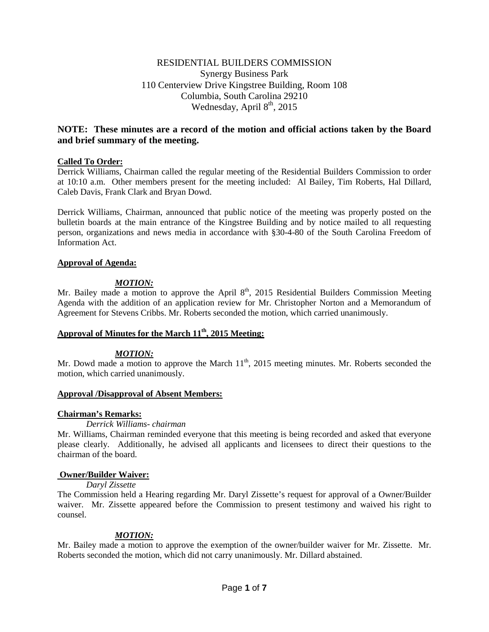# RESIDENTIAL BUILDERS COMMISSION Synergy Business Park 110 Centerview Drive Kingstree Building, Room 108 Columbia, South Carolina 29210 Wednesday, April  $8<sup>th</sup>$ , 2015

# **NOTE: These minutes are a record of the motion and official actions taken by the Board and brief summary of the meeting.**

# **Called To Order:**

Derrick Williams, Chairman called the regular meeting of the Residential Builders Commission to order at 10:10 a.m. Other members present for the meeting included: Al Bailey, Tim Roberts, Hal Dillard, Caleb Davis, Frank Clark and Bryan Dowd.

Derrick Williams, Chairman, announced that public notice of the meeting was properly posted on the bulletin boards at the main entrance of the Kingstree Building and by notice mailed to all requesting person, organizations and news media in accordance with §30-4-80 of the South Carolina Freedom of Information Act.

## **Approval of Agenda:**

# *MOTION:*

Mr. Bailey made a motion to approve the April 8<sup>th</sup>, 2015 Residential Builders Commission Meeting Agenda with the addition of an application review for Mr. Christopher Norton and a Memorandum of Agreement for Stevens Cribbs. Mr. Roberts seconded the motion, which carried unanimously.

# Approval of Minutes for the March  $11<sup>th</sup>$ , 2015 Meeting:

## *MOTION:*

Mr. Dowd made a motion to approve the March  $11<sup>th</sup>$ , 2015 meeting minutes. Mr. Roberts seconded the motion, which carried unanimously.

## **Approval /Disapproval of Absent Members:**

## **Chairman's Remarks:**

## *Derrick Williams- chairman*

Mr. Williams, Chairman reminded everyone that this meeting is being recorded and asked that everyone please clearly. Additionally, he advised all applicants and licensees to direct their questions to the chairman of the board.

## **Owner/Builder Waiver:**

## *Daryl Zissette*

The Commission held a Hearing regarding Mr. Daryl Zissette's request for approval of a Owner/Builder waiver. Mr. Zissette appeared before the Commission to present testimony and waived his right to counsel.

# *MOTION:*

Mr. Bailey made a motion to approve the exemption of the owner/builder waiver for Mr. Zissette. Mr. Roberts seconded the motion, which did not carry unanimously. Mr. Dillard abstained.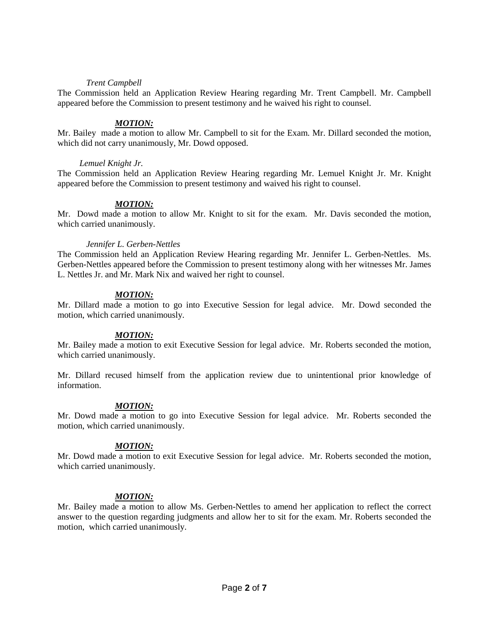## *Trent Campbell*

The Commission held an Application Review Hearing regarding Mr. Trent Campbell. Mr. Campbell appeared before the Commission to present testimony and he waived his right to counsel.

#### *MOTION:*

Mr. Bailey made a motion to allow Mr. Campbell to sit for the Exam. Mr. Dillard seconded the motion, which did not carry unanimously, Mr. Dowd opposed.

#### *Lemuel Knight Jr.*

The Commission held an Application Review Hearing regarding Mr. Lemuel Knight Jr. Mr. Knight appeared before the Commission to present testimony and waived his right to counsel.

#### *MOTION:*

Mr. Dowd made a motion to allow Mr. Knight to sit for the exam. Mr. Davis seconded the motion, which carried unanimously.

#### *Jennifer L. Gerben-Nettles*

The Commission held an Application Review Hearing regarding Mr. Jennifer L. Gerben-Nettles. Ms. Gerben-Nettles appeared before the Commission to present testimony along with her witnesses Mr. James L. Nettles Jr. and Mr. Mark Nix and waived her right to counsel.

## *MOTION:*

Mr. Dillard made a motion to go into Executive Session for legal advice. Mr. Dowd seconded the motion, which carried unanimously.

#### *MOTION:*

Mr. Bailey made a motion to exit Executive Session for legal advice. Mr. Roberts seconded the motion, which carried unanimously.

Mr. Dillard recused himself from the application review due to unintentional prior knowledge of information.

## *MOTION:*

Mr. Dowd made a motion to go into Executive Session for legal advice. Mr. Roberts seconded the motion, which carried unanimously.

#### *MOTION:*

Mr. Dowd made a motion to exit Executive Session for legal advice. Mr. Roberts seconded the motion, which carried unanimously.

#### *MOTION:*

Mr. Bailey made a motion to allow Ms. Gerben-Nettles to amend her application to reflect the correct answer to the question regarding judgments and allow her to sit for the exam. Mr. Roberts seconded the motion, which carried unanimously.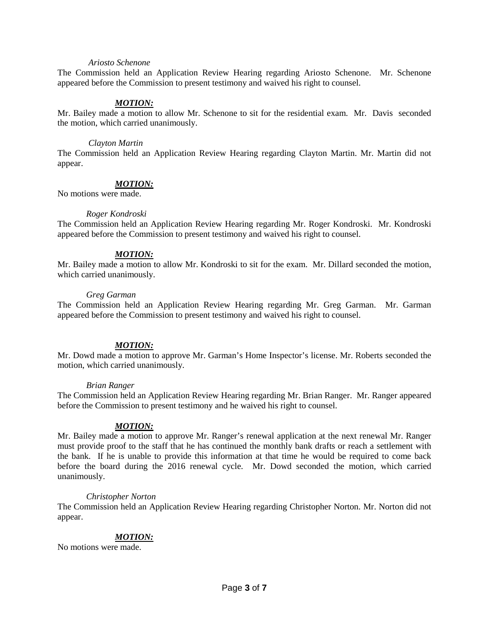#### *Ariosto Schenone*

The Commission held an Application Review Hearing regarding Ariosto Schenone. Mr. Schenone appeared before the Commission to present testimony and waived his right to counsel.

## *MOTION:*

Mr. Bailey made a motion to allow Mr. Schenone to sit for the residential exam. Mr. Davis seconded the motion, which carried unanimously.

#### *Clayton Martin*

The Commission held an Application Review Hearing regarding Clayton Martin. Mr. Martin did not appear.

#### *MOTION:*

No motions were made.

#### *Roger Kondroski*

The Commission held an Application Review Hearing regarding Mr. Roger Kondroski. Mr. Kondroski appeared before the Commission to present testimony and waived his right to counsel.

## *MOTION:*

Mr. Bailey made a motion to allow Mr. Kondroski to sit for the exam. Mr. Dillard seconded the motion, which carried unanimously.

#### *Greg Garman*

The Commission held an Application Review Hearing regarding Mr. Greg Garman. Mr. Garman appeared before the Commission to present testimony and waived his right to counsel.

## *MOTION:*

Mr. Dowd made a motion to approve Mr. Garman's Home Inspector's license. Mr. Roberts seconded the motion, which carried unanimously.

#### *Brian Ranger*

The Commission held an Application Review Hearing regarding Mr. Brian Ranger. Mr. Ranger appeared before the Commission to present testimony and he waived his right to counsel.

## *MOTION:*

Mr. Bailey made a motion to approve Mr. Ranger's renewal application at the next renewal Mr. Ranger must provide proof to the staff that he has continued the monthly bank drafts or reach a settlement with the bank. If he is unable to provide this information at that time he would be required to come back before the board during the 2016 renewal cycle. Mr. Dowd seconded the motion, which carried unanimously.

#### *Christopher Norton*

The Commission held an Application Review Hearing regarding Christopher Norton. Mr. Norton did not appear.

## *MOTION:*

No motions were made.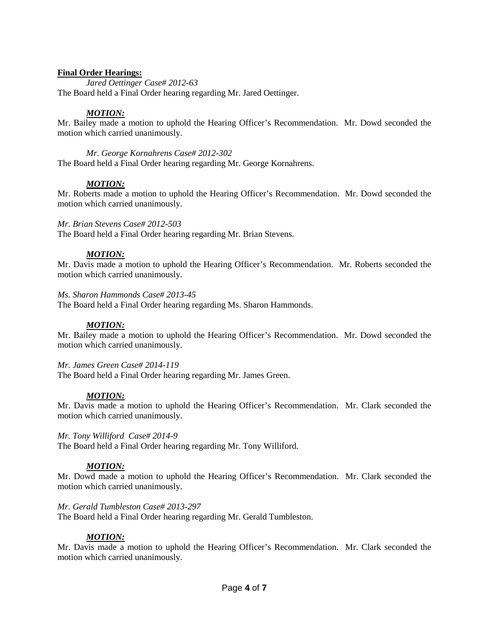# **Final Order Hearings:**

*Jared Oettinger Case# 2012-63*

The Board held a Final Order hearing regarding Mr. Jared Oettinger.

# *MOTION:*

Mr. Bailey made a motion to uphold the Hearing Officer's Recommendation. Mr. Dowd seconded the motion which carried unanimously.

*Mr. George Kornahrens Case# 2012-302*

The Board held a Final Order hearing regarding Mr. George Kornahrens.

# *MOTION:*

Mr. Roberts made a motion to uphold the Hearing Officer's Recommendation. Mr. Dowd seconded the motion which carried unanimously.

# *Mr. Brian Stevens Case# 2012-503*

The Board held a Final Order hearing regarding Mr. Brian Stevens.

# *MOTION:*

Mr. Davis made a motion to uphold the Hearing Officer's Recommendation. Mr. Roberts seconded the motion which carried unanimously.

## *Ms. Sharon Hammonds Case# 2013-45*

The Board held a Final Order hearing regarding Ms. Sharon Hammonds.

# *MOTION:*

Mr. Bailey made a motion to uphold the Hearing Officer's Recommendation. Mr. Dowd seconded the motion which carried unanimously.

# *Mr. James Green Case# 2014-119*

The Board held a Final Order hearing regarding Mr. James Green.

# *MOTION:*

Mr. Davis made a motion to uphold the Hearing Officer's Recommendation. Mr. Clark seconded the motion which carried unanimously.

## *Mr. Tony Williford Case# 2014-9*

The Board held a Final Order hearing regarding Mr. Tony Williford.

# *MOTION:*

Mr. Dowd made a motion to uphold the Hearing Officer's Recommendation. Mr. Clark seconded the motion which carried unanimously.

## *Mr. Gerald Tumbleston Case# 2013-297*

The Board held a Final Order hearing regarding Mr. Gerald Tumbleston.

## *MOTION:*

Mr. Davis made a motion to uphold the Hearing Officer's Recommendation. Mr. Clark seconded the motion which carried unanimously.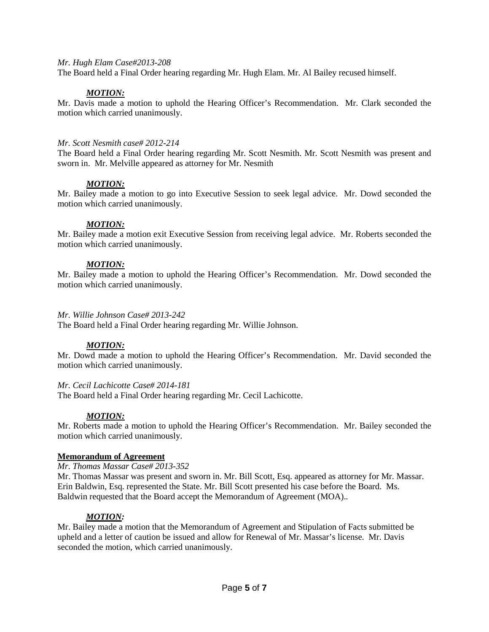#### *Mr. Hugh Elam Case#2013-208*

The Board held a Final Order hearing regarding Mr. Hugh Elam. Mr. Al Bailey recused himself.

## *MOTION:*

Mr. Davis made a motion to uphold the Hearing Officer's Recommendation. Mr. Clark seconded the motion which carried unanimously.

#### *Mr. Scott Nesmith case# 2012-214*

The Board held a Final Order hearing regarding Mr. Scott Nesmith. Mr. Scott Nesmith was present and sworn in. Mr. Melville appeared as attorney for Mr. Nesmith

#### *MOTION:*

Mr. Bailey made a motion to go into Executive Session to seek legal advice. Mr. Dowd seconded the motion which carried unanimously.

#### *MOTION:*

Mr. Bailey made a motion exit Executive Session from receiving legal advice. Mr. Roberts seconded the motion which carried unanimously.

#### *MOTION:*

Mr. Bailey made a motion to uphold the Hearing Officer's Recommendation. Mr. Dowd seconded the motion which carried unanimously.

#### *Mr. Willie Johnson Case# 2013-242*

The Board held a Final Order hearing regarding Mr. Willie Johnson.

## *MOTION:*

Mr. Dowd made a motion to uphold the Hearing Officer's Recommendation. Mr. David seconded the motion which carried unanimously.

#### *Mr. Cecil Lachicotte Case# 2014-181*

The Board held a Final Order hearing regarding Mr. Cecil Lachicotte.

## *MOTION:*

Mr. Roberts made a motion to uphold the Hearing Officer's Recommendation. Mr. Bailey seconded the motion which carried unanimously.

## **Memorandum of Agreement**

#### *Mr. Thomas Massar Case# 2013-352*

Mr. Thomas Massar was present and sworn in. Mr. Bill Scott, Esq. appeared as attorney for Mr. Massar. Erin Baldwin, Esq. represented the State. Mr. Bill Scott presented his case before the Board. Ms. Baldwin requested that the Board accept the Memorandum of Agreement (MOA)..

## *MOTION:*

Mr. Bailey made a motion that the Memorandum of Agreement and Stipulation of Facts submitted be upheld and a letter of caution be issued and allow for Renewal of Mr. Massar's license. Mr. Davis seconded the motion, which carried unanimously.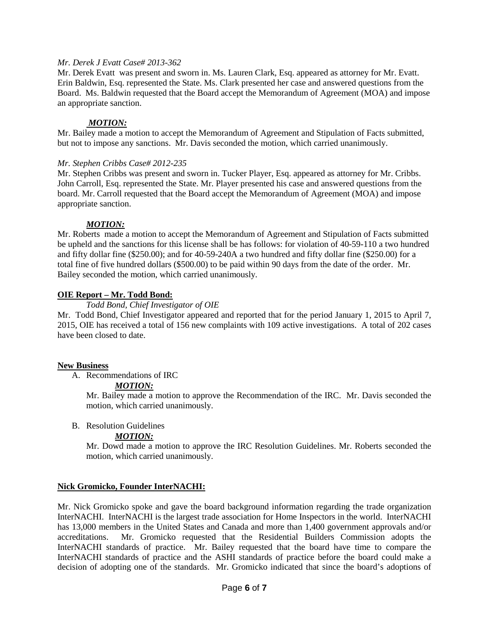## *Mr. Derek J Evatt Case# 2013-362*

Mr. Derek Evatt was present and sworn in. Ms. Lauren Clark, Esq. appeared as attorney for Mr. Evatt. Erin Baldwin, Esq. represented the State. Ms. Clark presented her case and answered questions from the Board. Ms. Baldwin requested that the Board accept the Memorandum of Agreement (MOA) and impose an appropriate sanction.

# *MOTION:*

Mr. Bailey made a motion to accept the Memorandum of Agreement and Stipulation of Facts submitted, but not to impose any sanctions. Mr. Davis seconded the motion, which carried unanimously.

## *Mr. Stephen Cribbs Case# 2012-235*

Mr. Stephen Cribbs was present and sworn in. Tucker Player, Esq. appeared as attorney for Mr. Cribbs. John Carroll, Esq. represented the State. Mr. Player presented his case and answered questions from the board. Mr. Carroll requested that the Board accept the Memorandum of Agreement (MOA) and impose appropriate sanction.

# *MOTION:*

Mr. Roberts made a motion to accept the Memorandum of Agreement and Stipulation of Facts submitted be upheld and the sanctions for this license shall be has follows: for violation of 40-59-110 a two hundred and fifty dollar fine (\$250.00); and for 40-59-240A a two hundred and fifty dollar fine (\$250.00) for a total fine of five hundred dollars (\$500.00) to be paid within 90 days from the date of the order. Mr. Bailey seconded the motion, which carried unanimously.

# **OIE Report – Mr. Todd Bond:**

# *Todd Bond, Chief Investigator of OIE*

Mr. Todd Bond, Chief Investigator appeared and reported that for the period January 1, 2015 to April 7, 2015, OIE has received a total of 156 new complaints with 109 active investigations. A total of 202 cases have been closed to date.

## **New Business**

A. Recommendations of IRC

## *MOTION:*

Mr. Bailey made a motion to approve the Recommendation of the IRC. Mr. Davis seconded the motion, which carried unanimously.

B. Resolution Guidelines

# *MOTION:*

Mr. Dowd made a motion to approve the IRC Resolution Guidelines. Mr. Roberts seconded the motion, which carried unanimously.

# **Nick Gromicko, Founder InterNACHI:**

Mr. Nick Gromicko spoke and gave the board background information regarding the trade organization InterNACHI. InterNACHI is the largest trade association for Home Inspectors in the world. InterNACHI has 13,000 members in the United States and Canada and more than 1,400 government approvals and/or accreditations. Mr. Gromicko requested that the Residential Builders Commission adopts the InterNACHI standards of practice. Mr. Bailey requested that the board have time to compare the InterNACHI standards of practice and the ASHI standards of practice before the board could make a decision of adopting one of the standards. Mr. Gromicko indicated that since the board's adoptions of